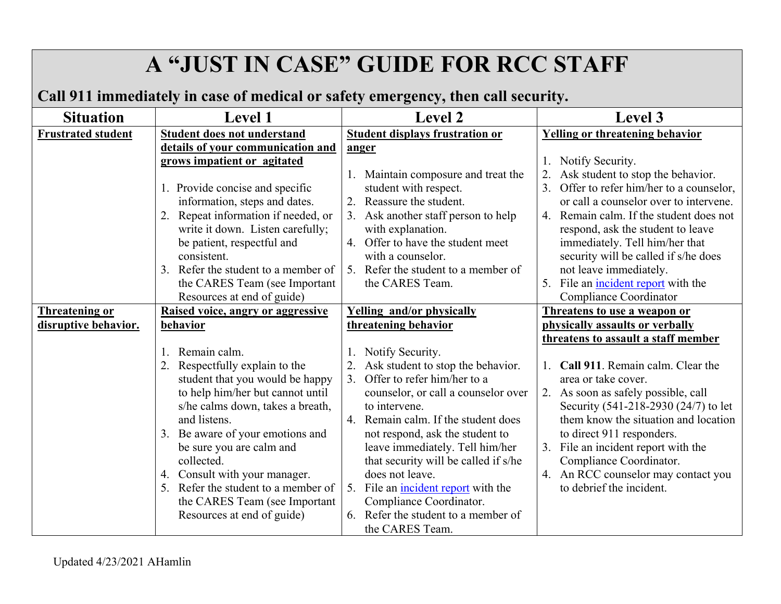# **A "JUST IN CASE" GUIDE FOR RCC STAFF**

# **Call 911 immediately in case of medical or safety emergency, then call security.**

| <b>Situation</b>          | <b>Level 1</b>                                                                                                                                                                                                                                                                                 | <b>Level 2</b>                                                                                                                                                                                                                                                           | Level 3                                                                                                                                                                                                                                                                                                                                                                                 |
|---------------------------|------------------------------------------------------------------------------------------------------------------------------------------------------------------------------------------------------------------------------------------------------------------------------------------------|--------------------------------------------------------------------------------------------------------------------------------------------------------------------------------------------------------------------------------------------------------------------------|-----------------------------------------------------------------------------------------------------------------------------------------------------------------------------------------------------------------------------------------------------------------------------------------------------------------------------------------------------------------------------------------|
| <b>Frustrated student</b> | <b>Student does not understand</b>                                                                                                                                                                                                                                                             | <b>Student displays frustration or</b>                                                                                                                                                                                                                                   | <b>Yelling or threatening behavior</b>                                                                                                                                                                                                                                                                                                                                                  |
|                           | details of your communication and                                                                                                                                                                                                                                                              | anger                                                                                                                                                                                                                                                                    |                                                                                                                                                                                                                                                                                                                                                                                         |
|                           | grows impatient or agitated                                                                                                                                                                                                                                                                    |                                                                                                                                                                                                                                                                          | Notify Security.<br>1.                                                                                                                                                                                                                                                                                                                                                                  |
|                           | 1. Provide concise and specific<br>information, steps and dates.<br>2. Repeat information if needed, or<br>write it down. Listen carefully;<br>be patient, respectful and<br>consistent.<br>3. Refer the student to a member of<br>the CARES Team (see Important<br>Resources at end of guide) | 1. Maintain composure and treat the<br>student with respect.<br>Reassure the student.<br>2.<br>Ask another staff person to help<br>with explanation.<br>4. Offer to have the student meet<br>with a counselor.<br>5. Refer the student to a member of<br>the CARES Team. | Ask student to stop the behavior.<br>3.<br>Offer to refer him/her to a counselor,<br>or call a counselor over to intervene.<br>4. Remain calm. If the student does not<br>respond, ask the student to leave<br>immediately. Tell him/her that<br>security will be called if s/he does<br>not leave immediately.<br>5. File an <i>incident report</i> with the<br>Compliance Coordinator |
| <b>Threatening or</b>     | Raised voice, angry or aggressive                                                                                                                                                                                                                                                              | <b>Yelling and/or physically</b>                                                                                                                                                                                                                                         | Threatens to use a weapon or                                                                                                                                                                                                                                                                                                                                                            |
| disruptive behavior.      | behavior                                                                                                                                                                                                                                                                                       | threatening behavior                                                                                                                                                                                                                                                     | physically assaults or verbally                                                                                                                                                                                                                                                                                                                                                         |
|                           |                                                                                                                                                                                                                                                                                                |                                                                                                                                                                                                                                                                          | threatens to assault a staff member                                                                                                                                                                                                                                                                                                                                                     |
|                           | Remain calm.<br>1.                                                                                                                                                                                                                                                                             | Notify Security.                                                                                                                                                                                                                                                         |                                                                                                                                                                                                                                                                                                                                                                                         |
|                           | Respectfully explain to the                                                                                                                                                                                                                                                                    | Ask student to stop the behavior.                                                                                                                                                                                                                                        | Call 911. Remain calm. Clear the                                                                                                                                                                                                                                                                                                                                                        |
|                           | student that you would be happy                                                                                                                                                                                                                                                                | Offer to refer him/her to a                                                                                                                                                                                                                                              | area or take cover.                                                                                                                                                                                                                                                                                                                                                                     |
|                           | to help him/her but cannot until                                                                                                                                                                                                                                                               | counselor, or call a counselor over                                                                                                                                                                                                                                      | 2. As soon as safely possible, call                                                                                                                                                                                                                                                                                                                                                     |
|                           | s/he calms down, takes a breath,                                                                                                                                                                                                                                                               | to intervene.                                                                                                                                                                                                                                                            | Security (541-218-2930 (24/7) to let                                                                                                                                                                                                                                                                                                                                                    |
|                           | and listens.                                                                                                                                                                                                                                                                                   | 4. Remain calm. If the student does                                                                                                                                                                                                                                      | them know the situation and location                                                                                                                                                                                                                                                                                                                                                    |
|                           | 3. Be aware of your emotions and                                                                                                                                                                                                                                                               | not respond, ask the student to                                                                                                                                                                                                                                          | to direct 911 responders.                                                                                                                                                                                                                                                                                                                                                               |
|                           | be sure you are calm and<br>collected.                                                                                                                                                                                                                                                         | leave immediately. Tell him/her<br>that security will be called if s/he                                                                                                                                                                                                  | 3. File an incident report with the<br>Compliance Coordinator.                                                                                                                                                                                                                                                                                                                          |
|                           | 4. Consult with your manager.                                                                                                                                                                                                                                                                  | does not leave.                                                                                                                                                                                                                                                          | 4. An RCC counselor may contact you                                                                                                                                                                                                                                                                                                                                                     |
|                           | 5. Refer the student to a member of                                                                                                                                                                                                                                                            | 5. File an incident report with the                                                                                                                                                                                                                                      | to debrief the incident.                                                                                                                                                                                                                                                                                                                                                                |
|                           | the CARES Team (see Important                                                                                                                                                                                                                                                                  | Compliance Coordinator.                                                                                                                                                                                                                                                  |                                                                                                                                                                                                                                                                                                                                                                                         |
|                           | Resources at end of guide)                                                                                                                                                                                                                                                                     | Refer the student to a member of<br>6.                                                                                                                                                                                                                                   |                                                                                                                                                                                                                                                                                                                                                                                         |
|                           |                                                                                                                                                                                                                                                                                                | the CARES Team.                                                                                                                                                                                                                                                          |                                                                                                                                                                                                                                                                                                                                                                                         |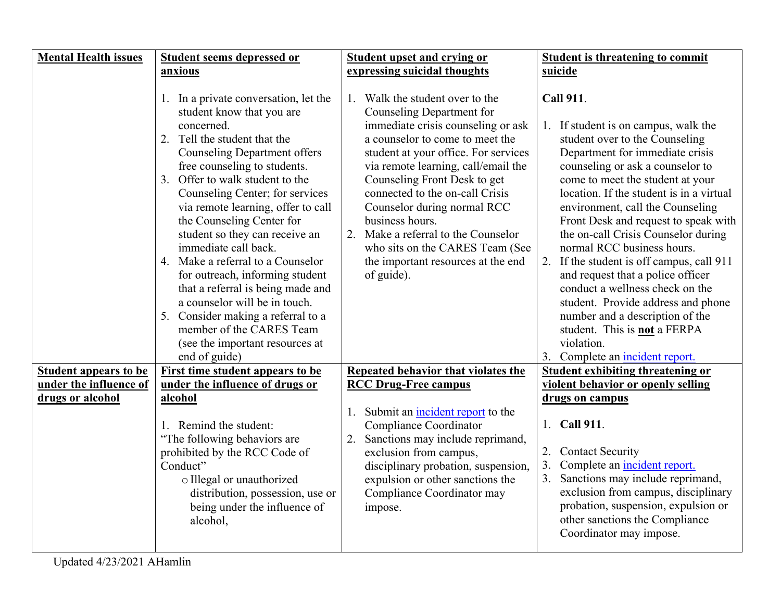| <b>Mental Health issues</b>  | <b>Student seems depressed or</b>                                                                                                                                                                                                                                                                                                                                                                                                                                                                                                                                                                                                             | <b>Student upset and crying or</b>                                                                                                                                                                                                                                                                                                                                                                                                                                   | <b>Student is threatening to commit</b>                                                                                                                                                                                                                                                                                                                                                                                                                                                                                                                                                                                                                  |
|------------------------------|-----------------------------------------------------------------------------------------------------------------------------------------------------------------------------------------------------------------------------------------------------------------------------------------------------------------------------------------------------------------------------------------------------------------------------------------------------------------------------------------------------------------------------------------------------------------------------------------------------------------------------------------------|----------------------------------------------------------------------------------------------------------------------------------------------------------------------------------------------------------------------------------------------------------------------------------------------------------------------------------------------------------------------------------------------------------------------------------------------------------------------|----------------------------------------------------------------------------------------------------------------------------------------------------------------------------------------------------------------------------------------------------------------------------------------------------------------------------------------------------------------------------------------------------------------------------------------------------------------------------------------------------------------------------------------------------------------------------------------------------------------------------------------------------------|
|                              | anxious                                                                                                                                                                                                                                                                                                                                                                                                                                                                                                                                                                                                                                       | expressing suicidal thoughts                                                                                                                                                                                                                                                                                                                                                                                                                                         | suicide                                                                                                                                                                                                                                                                                                                                                                                                                                                                                                                                                                                                                                                  |
|                              | 1. In a private conversation, let the<br>student know that you are<br>concerned.<br>2. Tell the student that the<br><b>Counseling Department offers</b><br>free counseling to students.<br>3. Offer to walk student to the<br>Counseling Center; for services<br>via remote learning, offer to call<br>the Counseling Center for<br>student so they can receive an<br>immediate call back.<br>4. Make a referral to a Counselor<br>for outreach, informing student<br>that a referral is being made and<br>a counselor will be in touch.<br>5. Consider making a referral to a<br>member of the CARES Team<br>(see the important resources at | 1. Walk the student over to the<br>Counseling Department for<br>immediate crisis counseling or ask<br>a counselor to come to meet the<br>student at your office. For services<br>via remote learning, call/email the<br>Counseling Front Desk to get<br>connected to the on-call Crisis<br>Counselor during normal RCC<br>business hours.<br>Make a referral to the Counselor<br>who sits on the CARES Team (See<br>the important resources at the end<br>of guide). | <b>Call 911.</b><br>If student is on campus, walk the<br>1.<br>student over to the Counseling<br>Department for immediate crisis<br>counseling or ask a counselor to<br>come to meet the student at your<br>location. If the student is in a virtual<br>environment, call the Counseling<br>Front Desk and request to speak with<br>the on-call Crisis Counselor during<br>normal RCC business hours.<br>2. If the student is off campus, call 911<br>and request that a police officer<br>conduct a wellness check on the<br>student. Provide address and phone<br>number and a description of the<br>student. This is <b>not</b> a FERPA<br>violation. |
| <b>Student appears to be</b> | end of guide)<br>First time student appears to be                                                                                                                                                                                                                                                                                                                                                                                                                                                                                                                                                                                             | Repeated behavior that violates the                                                                                                                                                                                                                                                                                                                                                                                                                                  | 3. Complete an incident report.<br><b>Student exhibiting threatening or</b>                                                                                                                                                                                                                                                                                                                                                                                                                                                                                                                                                                              |
| under the influence of       | under the influence of drugs or                                                                                                                                                                                                                                                                                                                                                                                                                                                                                                                                                                                                               | <b>RCC Drug-Free campus</b>                                                                                                                                                                                                                                                                                                                                                                                                                                          | violent behavior or openly selling                                                                                                                                                                                                                                                                                                                                                                                                                                                                                                                                                                                                                       |
| drugs or alcohol             | alcohol                                                                                                                                                                                                                                                                                                                                                                                                                                                                                                                                                                                                                                       |                                                                                                                                                                                                                                                                                                                                                                                                                                                                      | drugs on campus                                                                                                                                                                                                                                                                                                                                                                                                                                                                                                                                                                                                                                          |
|                              | 1. Remind the student:<br>"The following behaviors are<br>prohibited by the RCC Code of<br>Conduct"<br>o Illegal or unauthorized<br>distribution, possession, use or<br>being under the influence of<br>alcohol,                                                                                                                                                                                                                                                                                                                                                                                                                              | Submit an <i>incident report</i> to the<br>1.<br>Compliance Coordinator<br>Sanctions may include reprimand,<br>exclusion from campus,<br>disciplinary probation, suspension,<br>expulsion or other sanctions the<br>Compliance Coordinator may<br>impose.                                                                                                                                                                                                            | 1. Call 911.<br><b>Contact Security</b><br>2.<br>3.<br>Complete an <i>incident report.</i><br>3. Sanctions may include reprimand,<br>exclusion from campus, disciplinary<br>probation, suspension, expulsion or<br>other sanctions the Compliance<br>Coordinator may impose.                                                                                                                                                                                                                                                                                                                                                                             |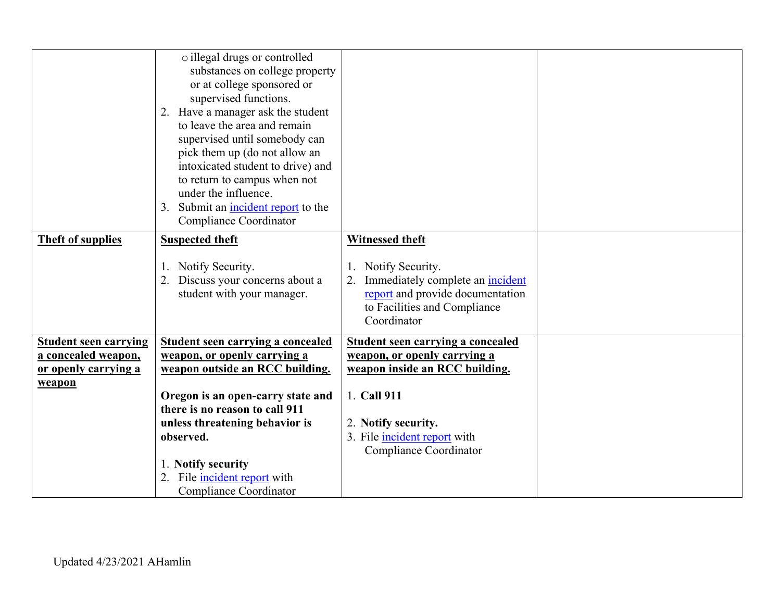|                                                    | o illegal drugs or controlled<br>substances on college property<br>or at college sponsored or<br>supervised functions.<br>2. Have a manager ask the student<br>to leave the area and remain<br>supervised until somebody can<br>pick them up (do not allow an<br>intoxicated student to drive) and<br>to return to campus when not<br>under the influence.<br>Submit an incident report to the<br>3.<br>Compliance Coordinator |                                                                                                                                                |  |
|----------------------------------------------------|--------------------------------------------------------------------------------------------------------------------------------------------------------------------------------------------------------------------------------------------------------------------------------------------------------------------------------------------------------------------------------------------------------------------------------|------------------------------------------------------------------------------------------------------------------------------------------------|--|
| <b>Theft of supplies</b>                           | <b>Suspected theft</b>                                                                                                                                                                                                                                                                                                                                                                                                         | <b>Witnessed theft</b>                                                                                                                         |  |
|                                                    | 1. Notify Security.<br>2. Discuss your concerns about a<br>student with your manager.                                                                                                                                                                                                                                                                                                                                          | Notify Security.<br>Immediately complete an <i>incident</i><br>report and provide documentation<br>to Facilities and Compliance<br>Coordinator |  |
| <b>Student seen carrying</b>                       | <b>Student seen carrying a concealed</b>                                                                                                                                                                                                                                                                                                                                                                                       | <b>Student seen carrying a concealed</b>                                                                                                       |  |
| a concealed weapon,<br><u>or openly carrying a</u> | weapon, or openly carrying a<br>weapon outside an RCC building.                                                                                                                                                                                                                                                                                                                                                                | weapon, or openly carrying a<br>weapon inside an RCC building.                                                                                 |  |
| weapon                                             |                                                                                                                                                                                                                                                                                                                                                                                                                                |                                                                                                                                                |  |
|                                                    | Oregon is an open-carry state and<br>there is no reason to call 911                                                                                                                                                                                                                                                                                                                                                            | 1. Call 911                                                                                                                                    |  |
|                                                    | unless threatening behavior is                                                                                                                                                                                                                                                                                                                                                                                                 | 2. Notify security.                                                                                                                            |  |
|                                                    | observed.                                                                                                                                                                                                                                                                                                                                                                                                                      | 3. File incident report with                                                                                                                   |  |
|                                                    |                                                                                                                                                                                                                                                                                                                                                                                                                                | Compliance Coordinator                                                                                                                         |  |
|                                                    | 1. Notify security<br>File incident report with                                                                                                                                                                                                                                                                                                                                                                                |                                                                                                                                                |  |
|                                                    | Compliance Coordinator                                                                                                                                                                                                                                                                                                                                                                                                         |                                                                                                                                                |  |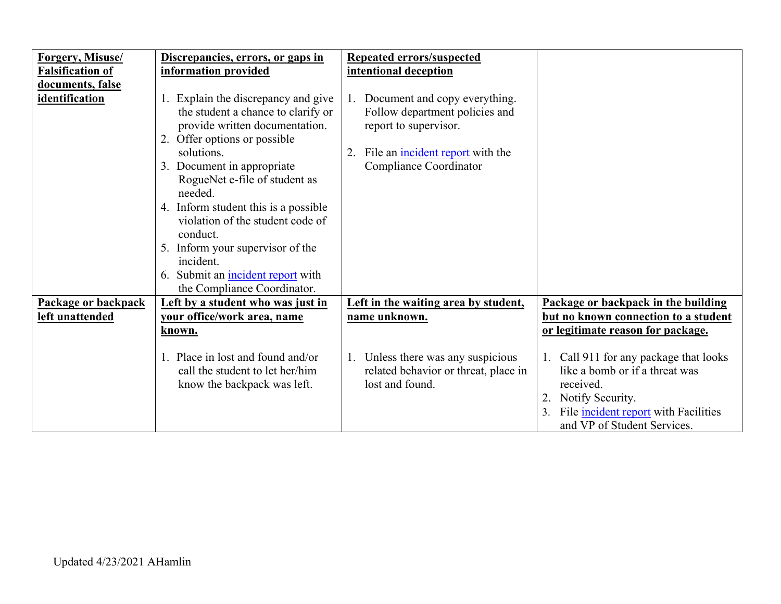| <b>Forgery, Misuse/</b> | Discrepancies, errors, or gaps in                                                                                                                                                                                                                                                                                                                                                                                 | <b>Repeated errors/suspected</b>                                                                                                                                |                                                                                                                                                                                     |
|-------------------------|-------------------------------------------------------------------------------------------------------------------------------------------------------------------------------------------------------------------------------------------------------------------------------------------------------------------------------------------------------------------------------------------------------------------|-----------------------------------------------------------------------------------------------------------------------------------------------------------------|-------------------------------------------------------------------------------------------------------------------------------------------------------------------------------------|
| <b>Falsification of</b> | information provided                                                                                                                                                                                                                                                                                                                                                                                              | intentional deception                                                                                                                                           |                                                                                                                                                                                     |
| documents, false        |                                                                                                                                                                                                                                                                                                                                                                                                                   |                                                                                                                                                                 |                                                                                                                                                                                     |
| identification          | 1. Explain the discrepancy and give<br>the student a chance to clarify or<br>provide written documentation.<br>2. Offer options or possible<br>solutions.<br>3. Document in appropriate<br>RogueNet e-file of student as<br>needed.<br>4. Inform student this is a possible<br>violation of the student code of<br>conduct.<br>5. Inform your supervisor of the<br>incident.<br>6. Submit an incident report with | 1. Document and copy everything.<br>Follow department policies and<br>report to supervisor.<br>File an incident report with the<br>2.<br>Compliance Coordinator |                                                                                                                                                                                     |
| Package or backpack     | the Compliance Coordinator.<br>Left by a student who was just in                                                                                                                                                                                                                                                                                                                                                  | Left in the waiting area by student,                                                                                                                            | Package or backpack in the building                                                                                                                                                 |
| left unattended         | vour office/work area, name                                                                                                                                                                                                                                                                                                                                                                                       | <u>name unknown.</u>                                                                                                                                            | but no known connection to a student                                                                                                                                                |
|                         | known.                                                                                                                                                                                                                                                                                                                                                                                                            |                                                                                                                                                                 | or legitimate reason for package.                                                                                                                                                   |
|                         |                                                                                                                                                                                                                                                                                                                                                                                                                   |                                                                                                                                                                 |                                                                                                                                                                                     |
|                         | 1. Place in lost and found and/or<br>call the student to let her/him<br>know the backpack was left.                                                                                                                                                                                                                                                                                                               | 1. Unless there was any suspicious<br>related behavior or threat, place in<br>lost and found.                                                                   | Call 911 for any package that looks<br>like a bomb or if a threat was<br>received.<br>Notify Security.<br>File incident report with Facilities<br>3.<br>and VP of Student Services. |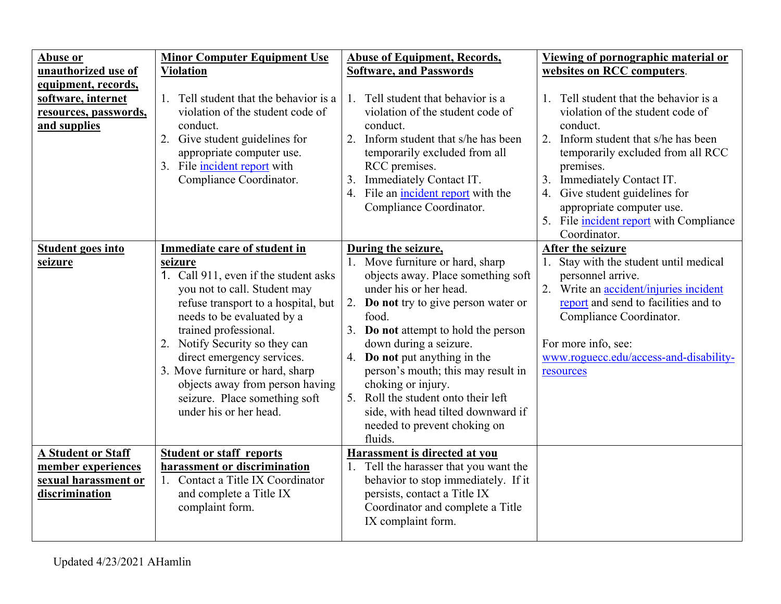| <b>Abuse or</b>           | <b>Minor Computer Equipment Use</b>    | <b>Abuse of Equipment, Records,</b>                  | Viewing of pornographic material or     |
|---------------------------|----------------------------------------|------------------------------------------------------|-----------------------------------------|
| unauthorized use of       | <b>Violation</b>                       | <b>Software, and Passwords</b>                       | websites on RCC computers.              |
| equipment, records,       |                                        |                                                      |                                         |
| software, internet        | 1. Tell student that the behavior is a | Tell student that behavior is a<br>$\mathbf{1}$ .    | 1. Tell student that the behavior is a  |
| resources, passwords,     | violation of the student code of       | violation of the student code of                     | violation of the student code of        |
| and supplies              | conduct.                               | conduct.                                             | conduct.                                |
|                           | 2. Give student guidelines for         | 2. Inform student that s/he has been                 | 2. Inform student that s/he has been    |
|                           | appropriate computer use.              | temporarily excluded from all                        | temporarily excluded from all RCC       |
|                           | 3. File incident report with           | RCC premises.                                        | premises.                               |
|                           | Compliance Coordinator.                | Immediately Contact IT.<br>3.                        | 3. Immediately Contact IT.              |
|                           |                                        | File an incident report with the<br>$\overline{4}$ . | 4. Give student guidelines for          |
|                           |                                        | Compliance Coordinator.                              | appropriate computer use.               |
|                           |                                        |                                                      | 5. File incident report with Compliance |
|                           |                                        |                                                      | Coordinator.                            |
| <b>Student goes into</b>  | Immediate care of student in           | During the seizure,                                  | After the seizure                       |
| seizure                   | seizure                                | 1. Move furniture or hard, sharp                     | 1. Stay with the student until medical  |
|                           | 1. Call 911, even if the student asks  | objects away. Place something soft                   | personnel arrive.                       |
|                           | you not to call. Student may           | under his or her head.                               | 2. Write an accident/injuries incident  |
|                           | refuse transport to a hospital, but    | Do not try to give person water or<br>2.             | report and send to facilities and to    |
|                           | needs to be evaluated by a             | food.                                                | Compliance Coordinator.                 |
|                           | trained professional.                  | 3. Do not attempt to hold the person                 |                                         |
|                           | 2. Notify Security so they can         | down during a seizure.                               | For more info, see:                     |
|                           | direct emergency services.             | 4. Do not put anything in the                        | www.roguecc.edu/access-and-disability-  |
|                           | 3. Move furniture or hard, sharp       | person's mouth; this may result in                   | resources                               |
|                           | objects away from person having        | choking or injury.                                   |                                         |
|                           | seizure. Place something soft          | 5. Roll the student onto their left                  |                                         |
|                           | under his or her head.                 | side, with head tilted downward if                   |                                         |
|                           |                                        | needed to prevent choking on                         |                                         |
|                           |                                        | fluids.                                              |                                         |
| <b>A Student or Staff</b> | <b>Student or staff reports</b>        | <b>Harassment is directed at you</b>                 |                                         |
| member experiences        | harassment or discrimination           | Tell the harasser that you want the                  |                                         |
| sexual harassment or      | 1. Contact a Title IX Coordinator      | behavior to stop immediately. If it                  |                                         |
| discrimination            | and complete a Title IX                | persists, contact a Title IX                         |                                         |
|                           | complaint form.                        | Coordinator and complete a Title                     |                                         |
|                           |                                        | IX complaint form.                                   |                                         |
|                           |                                        |                                                      |                                         |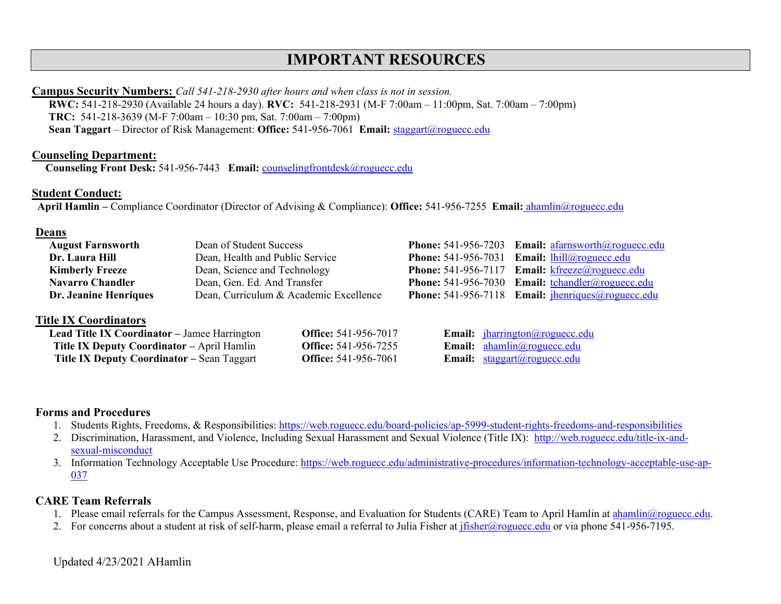## **IMPORTANT RESOURCES**

#### **Campus Security Numbers:** *Call 541-218-2930 after hours and when class is not in session.*

 **RWC:** 541-218-2930 (Available 24 hours a day). **RVC:** 541-218-2931 (M-F 7:00am – 11:00pm, Sat. 7:00am – 7:00pm) **TRC:** 541-218-3639 (M-F 7:00am – 10:30 pm, Sat. 7:00am – 7:00pm) **Sean Taggart** – Director of Risk Management: **Office:** 541-956-7061 **Email:** [staggart@roguecc.edu](mailto:staggart@roguecc.edu) 

#### **Counseling Department:**

**Counseling Front Desk:** 541-956-7443 **Email:** [counselingfrontdesk@roguecc.edu](mailto:counselingfrontdesk@roguecc.edu) 

#### **Student Conduct:**

**Student Conduct: April Hamlin –** Compliance Coordinator (Director of Advising & Compliance): **Office:** 541-956-7255 **Email:** [ahamlin@roguecc.edu](mailto:ahamlin@roguecc.edu) 

#### **Deans**

| <b>August Farnsworth</b>     | Dean of Student Success                | <b>Phone:</b> 541-956-7203 Email: $a\frac{farnsworth(\theta) \text{roguecc.edu}}{a\frac{farnsworth(\theta) \text{roguecc.edu}}{a\frac{arnsworth(\theta) \text{roguecc.edu}}{a\frac{arnsworth(\theta) \text{roguecc.edu}}{a\frac{arnsworth(\theta) \text{roguecc.edu}}{a\frac{arnsworth(\theta) \text{roguecc.edu}}{a\frac{arnsworth(\theta) \text{roguecc.edu}}{a\frac{arnsworth(\theta) \text{roguecc.edu}}{a\frac{arnsworth(\theta) \text{roguecc.edu}}{a\$ |
|------------------------------|----------------------------------------|---------------------------------------------------------------------------------------------------------------------------------------------------------------------------------------------------------------------------------------------------------------------------------------------------------------------------------------------------------------------------------------------------------------------------------------------------------------|
| Dr. Laura Hill               | Dean, Health and Public Service        | <b>Phone:</b> 541-956-7031 <b>Email:</b> $\frac{1}{2}$ <b>lhill</b> $\omega$ roguecc.edu                                                                                                                                                                                                                                                                                                                                                                      |
| <b>Kimberly Freeze</b>       | Dean, Science and Technology           | <b>Phone:</b> 541-956-7117 <b>Email:</b> $k \text{freeze}(a)$ roguecc.edu                                                                                                                                                                                                                                                                                                                                                                                     |
| <b>Navarro Chandler</b>      | Dean, Gen. Ed. And Transfer            | <b>Phone:</b> 541-956-7030 <b>Email:</b> tchandler@roguecc.edu                                                                                                                                                                                                                                                                                                                                                                                                |
| <b>Dr. Jeanine Henriques</b> | Dean, Curriculum & Academic Excellence | <b>Phone:</b> 541-956-7118 Email: $\frac{\text{[henriques]} \text{@roguecc.edu}}{\text{[henriques]} \text{@roguecc.edu}}$                                                                                                                                                                                                                                                                                                                                     |
|                              |                                        |                                                                                                                                                                                                                                                                                                                                                                                                                                                               |

#### **Title IX Coordinators**

| <b>Lead Title IX Coordinator</b> – Jamee Harrington | <b>Office:</b> 541-956-7017 | Email: jharrington@roguecc.edu                      |
|-----------------------------------------------------|-----------------------------|-----------------------------------------------------|
| <b>Title IX Deputy Coordinator – April Hamlin</b>   | <b>Office:</b> 541-956-7255 | <b>Email:</b> $ahamlin@roquecc.edu$                 |
| <b>Title IX Deputy Coordinator - Sean Taggart</b>   | <b>Office:</b> 541-956-7061 | <b>Email:</b> $\text{stagger}(a)\text{roqueue.edu}$ |

#### **Forms and Procedures**

- 1. Students Rights, Freedoms, & Responsibilities: https://web.roguecc.edu/board-policies/ap-5999-student-rights-freedoms-and-responsibilities
- sexual-misconduct 2. Discrimination, Harassment, and Violence, Including Sexual Harassment and Sexual Violence (Title IX): [http://web.roguecc.edu/title-ix-and-](http://web.roguecc.edu/title-ix-and-sexual-misconduct)
- 3. Information Technology Acceptable Use Procedure: [https://web.roguecc.edu/administrative-procedures/information-technology-acceptable-use-ap-](https://web.roguecc.edu/administrative-procedures/information-technology-acceptable-use-ap-037)[037](https://web.roguecc.edu/administrative-procedures/information-technology-acceptable-use-ap-037)

#### **CARE Team Referrals**

- 1. Please email referrals for the Campus Assessment, Response, and Evaluation for Students (CARE) Team to April Hamlin at [ahamlin@roguecc.edu.](mailto:ahamlin@roguecc.edu)
- 2. For concerns about a student at risk of self-harm, please email a referral to Julia Fisher at j<del>fisher@roguecc.edu</del> or via phone 541-956-7195.